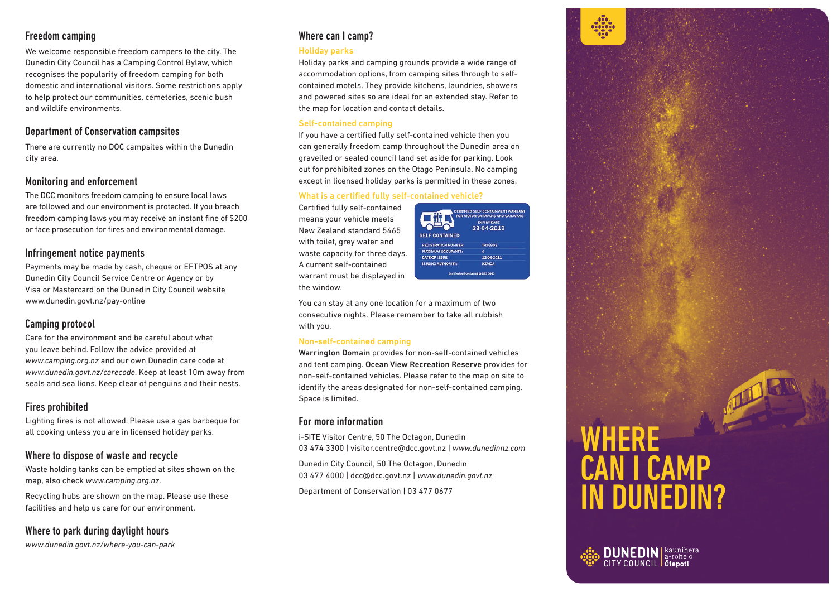# Freedom camping

We welcome responsible freedom campers to the city. The Dunedin City Council has a Camping Control Bylaw, which recognises the popularity of freedom camping for both domestic and international visitors. Some restrictions apply to help protect our communities, cemeteries, scenic bush and wildlife environments.

# Department of Conservation campsites

There are currently no DOC campsites within the Dunedin city area.

## Monitoring and enforcement

The DCC monitors freedom camping to ensure local laws are followed and our environment is protected. If you breach freedom camping laws you may receive an instant fine of \$200 or face prosecution for fires and environmental damage.

## Infringement notice payments

Payments may be made by cash, cheque or EFTPOS at any Dunedin City Council Service Centre or Agency or by Visa or Mastercard on the Dunedin City Council website www.dunedin.govt.nz/pay-online

# Camping protocol

Care for the environment and be careful about what you leave behind. Follow the advice provided at *www.camping.org.nz* and our own Dunedin care code at *www.dunedin.govt.nz/carecode*. Keep at least 10m away from seals and sea lions. Keep clear of penguins and their nests.

# Fires prohibited

Lighting fires is not allowed. Please use a gas barbeque for all cooking unless you are in licensed holiday parks.

## Where to dispose of waste and recycle

Waste holding tanks can be emptied at sites shown on the map, also check *www.camping.org.nz*.

Recycling hubs are shown on the map. Please use these facilities and help us care for our environment.

Where to park during daylight hours

#### *www.dunedin.govt.nz/where-you-can-park*

# Where can I camp?

#### Holiday parks

Holiday parks and camping grounds provide a wide range of accommodation options, from camping sites through to selfcontained motels. They provide kitchens, laundries, showers and powered sites so are ideal for an extended stay. Refer to the map for location and contact details.

#### Self-contained camping

If you have a certified fully self-contained vehicle then you can generally freedom camp throughout the Dunedin area on gravelled or sealed council land set aside for parking. Look out for prohibited zones on the Otago Peninsula. No camping except in licensed holiday parks is permitted in these zones.

#### What is a certified fully self-contained vehicle?

Certified fully self-contained means your vehicle meets New Zealand standard 5465 with toilet, grey water and waste capacity for three days. A current self-contained warrant must be displayed in the window.



You can stay at any one location for a maximum of two consecutive nights. Please remember to take all rubbish with you.

#### Non-self-contained camping

Warrington Domain provides for non-self-contained vehicles and tent camping. Ocean View Recreation Reserve provides for non-self-contained vehicles. Please refer to the map on site to identify the areas designated for non-self-contained camping. Space is limited.

### For more information

i-SITE Visitor Centre, 50 The Octagon, Dunedin 03 474 3300 | visitor.centre@dcc.govt.nz | *www.dunedinnz.com*

Dunedin City Council, 50 The Octagon, Dunedin 03 477 4000 | dcc@dcc.govt.nz | *www.dunedin.govt.nz*

Department of Conservation | 03 477 0677

# WHERE CAN I CAMP IN DUNEDIN?